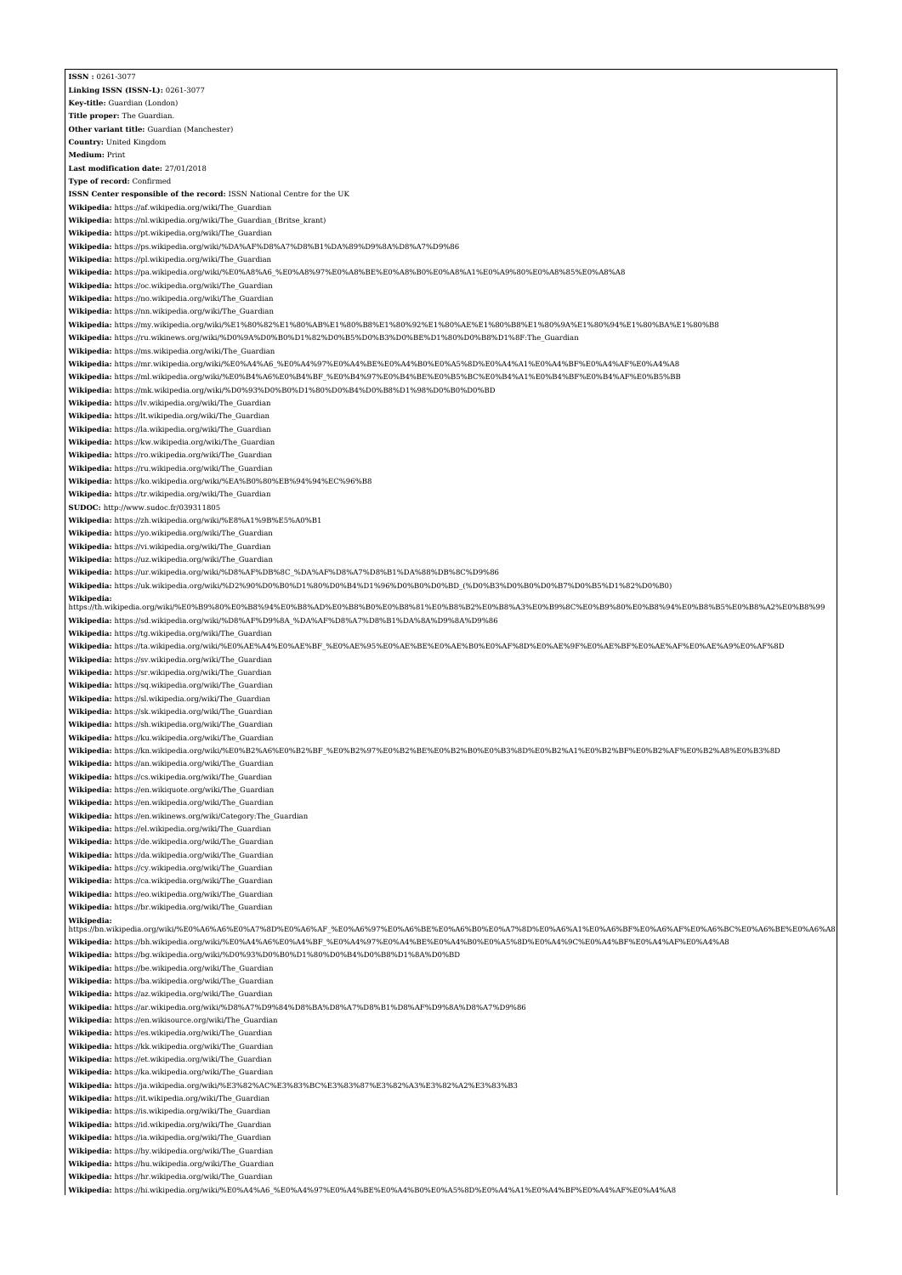| <b>ISSN: 0261 3077</b>                                                                                                                                                                                               |
|----------------------------------------------------------------------------------------------------------------------------------------------------------------------------------------------------------------------|
| Linking ISSN (ISSN-L): 0261-3077                                                                                                                                                                                     |
|                                                                                                                                                                                                                      |
| Key-title: Guardian (London)                                                                                                                                                                                         |
| Title proper: The Guardian.                                                                                                                                                                                          |
|                                                                                                                                                                                                                      |
| Other variant title: Guardian (Manchester)                                                                                                                                                                           |
| Country: United Kingdom                                                                                                                                                                                              |
| <b>Medium: Print</b>                                                                                                                                                                                                 |
| Last modification date: 27/01/2018                                                                                                                                                                                   |
|                                                                                                                                                                                                                      |
| Type of record: Confirmed                                                                                                                                                                                            |
| ISSN Center responsible of the record: ISSN National Centre for the UK                                                                                                                                               |
| Wikipedia: https://af.wikipedia.org/wiki/The Guardian                                                                                                                                                                |
|                                                                                                                                                                                                                      |
| Wikipedia: https://nl.wikipedia.org/wiki/The_Guardian_(Britse_krant)                                                                                                                                                 |
| Wikipedia: https://pt.wikipedia.org/wiki/The_Guardian                                                                                                                                                                |
|                                                                                                                                                                                                                      |
| Wikipedia: https://ps.wikipedia.org/wiki/%DA%AF%D8%A7%D8%B1%DA%89%D9%8A%D8%A7%D9%86                                                                                                                                  |
| Wikipedia: https://pl.wikipedia.org/wiki/The_Guardian                                                                                                                                                                |
| Wikipedia: https://pa.wikipedia.org/wiki/%E0%A8%A6_%E0%A8%97%E0%A8%BE%E0%A8%B0%E0%A8%A1%E0%A9%80%E0%A8%85%E0%A8%A8                                                                                                   |
|                                                                                                                                                                                                                      |
| Wikipedia: https://oc.wikipedia.org/wiki/The_Guardian                                                                                                                                                                |
| Wikipedia: https://no.wikipedia.org/wiki/The Guardian                                                                                                                                                                |
| Wikipedia: https://nn.wikipedia.org/wiki/The_Guardian                                                                                                                                                                |
|                                                                                                                                                                                                                      |
| Wikipedia: https://my.wikipedia.org/wiki/%E1%80%82%E1%80%AB%E1%80%B8%E1%80%92%E1%80%AE%E1%80%B8%E1%80%9A%E1%80%94%E1%80%BA%E1%80%B8                                                                                  |
| Wikipedia: https://ru.wikinews.org/wiki/%D0%9A%D0%B0%D1%82%D0%B5%D0%B3%D0%BE%D1%80%D0%B8%D1%8F:The Guardian                                                                                                          |
|                                                                                                                                                                                                                      |
| Wikipedia: https://ms.wikipedia.org/wiki/The Guardian                                                                                                                                                                |
| Wikipedia: https://mr.wikipedia.org/wiki/%E0%A4%A6_%E0%A4%97%E0%A4%BE%E0%A4%B0%E0%A5%8D%E0%A4%A1%E0%A4%BF%E0%A4%AF%E0%A4%A8                                                                                          |
| Wikipedia: https://ml.wikipedia.org/wiki/%E0%B4%A6%E0%B4%BF_%E0%B4%97%E0%B4%BE%E0%B5%BC%E0%B4%A1%E0%B4%BF%E0%B4%AF%E0%B5%BB                                                                                          |
|                                                                                                                                                                                                                      |
| Wikipedia: https://mk.wikipedia.org/wiki/%D0%93%D0%B0%D1%80%D0%B4%D0%B8%D1%98%D0%B0%D0%BD                                                                                                                            |
| Wikipedia: https://lv.wikipedia.org/wiki/The Guardian                                                                                                                                                                |
| Wikipedia: https://lt.wikipedia.org/wiki/The_Guardian                                                                                                                                                                |
|                                                                                                                                                                                                                      |
| Wikipedia: https://la.wikipedia.org/wiki/The_Guardian                                                                                                                                                                |
| Wikipedia: https://kw.wikipedia.org/wiki/The_Guardian                                                                                                                                                                |
|                                                                                                                                                                                                                      |
| Wikipedia: https://ro.wikipedia.org/wiki/The Guardian                                                                                                                                                                |
| Wikipedia: https://ru.wikipedia.org/wiki/The Guardian                                                                                                                                                                |
| Wikipedia: https://ko.wikipedia.org/wiki/%EA%B0%80%EB%94%94%EC%96%B8                                                                                                                                                 |
|                                                                                                                                                                                                                      |
| Wikipedia: https://tr.wikipedia.org/wiki/The_Guardian                                                                                                                                                                |
| SUDOC: http://www.sudoc.fr/039311805                                                                                                                                                                                 |
| Wikipedia: https://zh.wikipedia.org/wiki/%E8%A1%9B%E5%A0%B1                                                                                                                                                          |
|                                                                                                                                                                                                                      |
| Wikipedia: https://yo.wikipedia.org/wiki/The_Guardian                                                                                                                                                                |
| Wikipedia: https://vi.wikipedia.org/wiki/The_Guardian                                                                                                                                                                |
| Wikipedia: https://uz.wikipedia.org/wiki/The Guardian                                                                                                                                                                |
|                                                                                                                                                                                                                      |
| Wikipedia: https://ur.wikipedia.org/wiki/%D8%AF%DB%8C_%DA%AF%D8%A7%D8%B1%DA%88%DB%8C%D9%86                                                                                                                           |
| Wikipedia: https://uk.wikipedia.org/wiki/%D2%90%D0%B0%D1%80%D0%B4%D1%96%D0%B0%D0%BD_(%D0%B3%D0%B0%D0%B7%D0%B5%D1%82%D0%B0)                                                                                           |
|                                                                                                                                                                                                                      |
| Wikipedia:<br>https://th.wikipedia.org/wiki/%E0%B9%80%E0%B8%94%E0%B8%AD%E0%B8%B0%E0%B8%81%E0%B8%B2%E0%B8%A3%E0%B9%8C%E0%B9%80%E0%B8%94%E0%B8%B5%E0%B8%A2%E0%B8%99                                                    |
|                                                                                                                                                                                                                      |
| Wikipedia: https://sd.wikipedia.org/wiki/%D8%AF%D9%8A_%DA%AF%D8%A7%D8%B1%DA%8A%D9%8A%D9%86                                                                                                                           |
| Wikipedia: https://tg.wikipedia.org/wiki/The_Guardian                                                                                                                                                                |
| Wikipedia: https://ta.wikipedia.org/wiki/%E0%AE%A4%E0%AE%BF %E0%AE%95%E0%AE%BE%E0%AE%B0%E0%AF%8D%E0%AE%9F%E0%AE%BF%E0%AE%AF%E0%AE%A9%E0%AF%8D                                                                        |
|                                                                                                                                                                                                                      |
| Wikipedia: https://sv.wikipedia.org/wiki/The Guardian                                                                                                                                                                |
| Wikipedia: https://sr.wikipedia.org/wiki/The_Guardian                                                                                                                                                                |
|                                                                                                                                                                                                                      |
| Wikipedia: https://sq.wikipedia.org/wiki/The_Guardian                                                                                                                                                                |
| Wikipedia: https://sl.wikipedia.org/wiki/The_Guardian                                                                                                                                                                |
| Wikipedia: https://sk.wikipedia.org/wiki/The Guardian                                                                                                                                                                |
|                                                                                                                                                                                                                      |
| Wikipedia: https://sh.wikipedia.org/wiki/The_Guardian                                                                                                                                                                |
| Wikipedia: https://ku.wikipedia.org/wiki/The Guardian                                                                                                                                                                |
| Wikipedia: https://kn.wikipedia.org/wiki/%E0%B2%A6%E0%B2%BF %E0%B2%97%E0%B2%BE%E0%B2%B0%E0%B3%8D%E0%B2%A1%E0%B2%BF%E0%B2%AF%E0%B2%A8%E0%B3%8D                                                                        |
|                                                                                                                                                                                                                      |
| Wikipedia: https://an.wikipedia.org/wiki/The Guardian                                                                                                                                                                |
| Wikipedia: https://cs.wikipedia.org/wiki/The_Guardian                                                                                                                                                                |
|                                                                                                                                                                                                                      |
| Wikipedia: https://en.wikiquote.org/wiki/The Guardian                                                                                                                                                                |
| Wikipedia: https://en.wikipedia.org/wiki/The Guardian                                                                                                                                                                |
| Wikipedia: https://en.wikinews.org/wiki/Category:The_Guardian                                                                                                                                                        |
|                                                                                                                                                                                                                      |
| Wikipedia: https://el.wikipedia.org/wiki/The Guardian                                                                                                                                                                |
| Wikipedia: https://de.wikipedia.org/wiki/The Guardian                                                                                                                                                                |
| Wikipedia: https://da.wikipedia.org/wiki/The Guardian                                                                                                                                                                |
|                                                                                                                                                                                                                      |
| Wikipedia: https://cy.wikipedia.org/wiki/The_Guardian                                                                                                                                                                |
| Wikipedia: https://ca.wikipedia.org/wiki/The_Guardian                                                                                                                                                                |
| Wikipedia: https://eo.wikipedia.org/wiki/The Guardian                                                                                                                                                                |
|                                                                                                                                                                                                                      |
| Wikipedia: https://br.wikipedia.org/wiki/The_Guardian                                                                                                                                                                |
| Wikipedia:                                                                                                                                                                                                           |
| https://bn.wikipedia.org/wiki/%E0%A6%A6%E0%A7%8D%E0%A6%AF_%E0%A6%97%E0%A6%BE%E0%A6%B0%E0%A7%8D%E0%A6%A1%E0%A6%BF%E0%A6%AF%E0%A6%BC%E0%A6%BE%E0%A6%BE%E0%A6%BE%E0%A6%BE%E0%A6%BE%E0%A6%BE%E0%A6%BE%E0%A6%BE%E0%A6%AF_ |
| Wikipedia: https://bh.wikipedia.org/wiki/%E0%A4%A6%E0%A4%BF_%E0%A4%97%E0%A4%BE%E0%A4%B0%E0%A5%8D%E0%A4%9C%E0%A4%BF%E0%A4%AF%E0%A4%A8                                                                                 |
|                                                                                                                                                                                                                      |
| Wikipedia: https://bg.wikipedia.org/wiki/%D0%93%D0%B0%D1%80%D0%B4%D0%B8%D1%8A%D0%BD                                                                                                                                  |
| Wikipedia: https://be.wikipedia.org/wiki/The_Guardian                                                                                                                                                                |
| Wikipedia: https://ba.wikipedia.org/wiki/The_Guardian                                                                                                                                                                |
|                                                                                                                                                                                                                      |
| Wikipedia: https://az.wikipedia.org/wiki/The Guardian                                                                                                                                                                |
| Wikipedia: https://ar.wikipedia.org/wiki/%D8%A7%D9%84%D8%BA%D8%A7%D8%B1%D8%AF%D9%8A%D8%A7%D9%86                                                                                                                      |
|                                                                                                                                                                                                                      |
| Wikipedia: https://en.wikisource.org/wiki/The Guardian                                                                                                                                                               |
| Wikipedia: https://es.wikipedia.org/wiki/The_Guardian                                                                                                                                                                |
| Wikipedia: https://kk.wikipedia.org/wiki/The Guardian                                                                                                                                                                |
|                                                                                                                                                                                                                      |
| Wikipedia: https://et.wikipedia.org/wiki/The Guardian                                                                                                                                                                |
|                                                                                                                                                                                                                      |
|                                                                                                                                                                                                                      |
| Wikipedia: https://ka.wikipedia.org/wiki/The_Guardian                                                                                                                                                                |
| Wikipedia: https://ja.wikipedia.org/wiki/%E3%82%AC%E3%83%BC%E3%83%87%E3%82%A3%E3%82%A2%E3%83%B3                                                                                                                      |
| Wikipedia: https://it.wikipedia.org/wiki/The_Guardian                                                                                                                                                                |
|                                                                                                                                                                                                                      |
| Wikipedia: https://is.wikipedia.org/wiki/The Guardian                                                                                                                                                                |
| Wikipedia: https://id.wikipedia.org/wiki/The_Guardian                                                                                                                                                                |
| Wikipedia: https://ia.wikipedia.org/wiki/The_Guardian                                                                                                                                                                |
|                                                                                                                                                                                                                      |
| Wikipedia: https://hy.wikipedia.org/wiki/The_Guardian                                                                                                                                                                |
| Wikipedia: https://hu.wikipedia.org/wiki/The Guardian                                                                                                                                                                |
| Wikipedia: https://hr.wikipedia.org/wiki/The_Guardian                                                                                                                                                                |
| Wikipedia: https://hi.wikipedia.org/wiki/%E0%A4%A6 %E0%A4%97%E0%A4%BE%E0%A4%B0%E0%A5%8D%E0%A4%A1%E0%A4%BF%E0%A4%AF%E0%A4%A8                                                                                          |